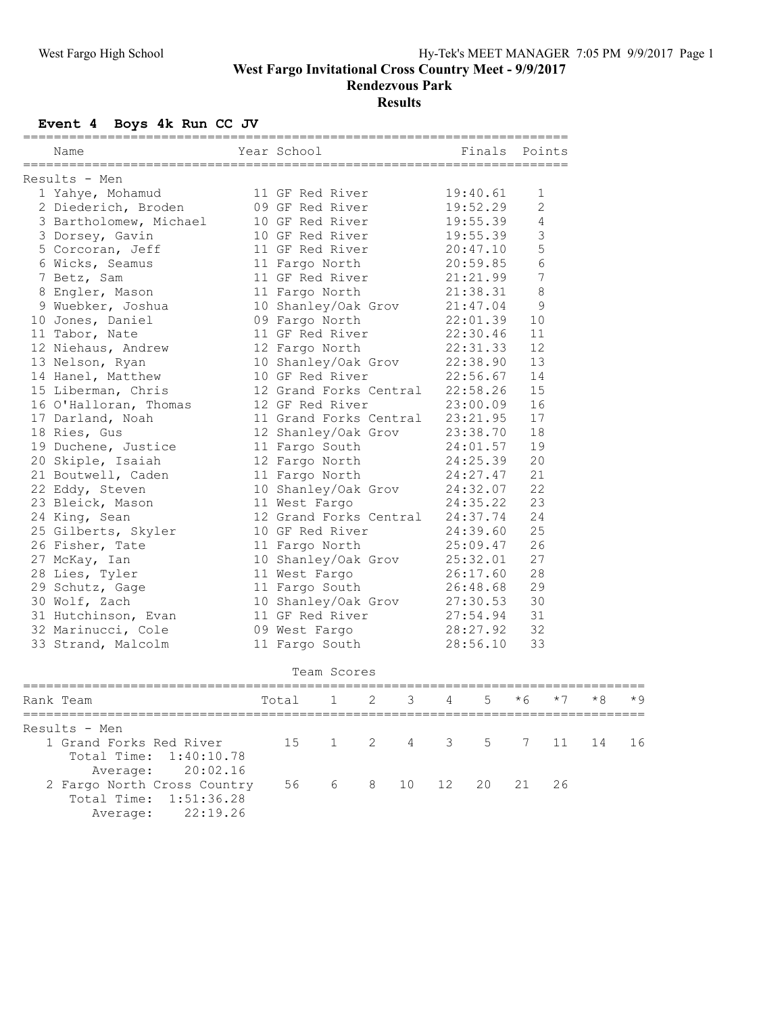**West Fargo Invitational Cross Country Meet - 9/9/2017**

**Rendezvous Park**

## **Results**

## **Event 4 Boys 4k Run CC JV**

|  | Name                   |  | Year School and the School and the School |          | Finals Points  |  |  |  |  |  |
|--|------------------------|--|-------------------------------------------|----------|----------------|--|--|--|--|--|
|  |                        |  |                                           |          |                |  |  |  |  |  |
|  | Results - Men          |  |                                           |          |                |  |  |  |  |  |
|  | 1 Yahye, Mohamud       |  | 11 GF Red River                           | 19:40.61 | $\mathbf 1$    |  |  |  |  |  |
|  | 2 Diederich, Broden    |  | 09 GF Red River                           | 19:52.29 | $\overline{c}$ |  |  |  |  |  |
|  | 3 Bartholomew, Michael |  | 10 GF Red River                           | 19:55.39 | $\overline{4}$ |  |  |  |  |  |
|  | 3 Dorsey, Gavin        |  | 10 GF Red River                           | 19:55.39 | $\mathfrak{Z}$ |  |  |  |  |  |
|  | 5 Corcoran, Jeff       |  | 11 GF Red River                           | 20:47.10 | 5              |  |  |  |  |  |
|  | 6 Wicks, Seamus        |  | 11 Fargo North                            | 20:59.85 | $\sqrt{6}$     |  |  |  |  |  |
|  | 7 Betz, Sam            |  | 11 GF Red River                           | 21:21.99 | 7              |  |  |  |  |  |
|  | 8 Engler, Mason        |  | 11 Fargo North                            | 21:38.31 | 8              |  |  |  |  |  |
|  | 9 Wuebker, Joshua      |  | 10 Shanley/Oak Grov                       | 21:47.04 | 9              |  |  |  |  |  |
|  | 10 Jones, Daniel       |  | 09 Fargo North                            | 22:01.39 | 10             |  |  |  |  |  |
|  | 11 Tabor, Nate         |  | 11 GF Red River                           | 22:30.46 | 11             |  |  |  |  |  |
|  | 12 Niehaus, Andrew     |  | 12 Fargo North                            | 22:31.33 | 12             |  |  |  |  |  |
|  | 13 Nelson, Ryan        |  | 10 Shanley/Oak Grov                       | 22:38.90 | 13             |  |  |  |  |  |
|  | 14 Hanel, Matthew      |  | 10 GF Red River                           | 22:56.67 | 14             |  |  |  |  |  |
|  | 15 Liberman, Chris     |  | 12 Grand Forks Central                    | 22:58.26 | 15             |  |  |  |  |  |
|  | 16 O'Halloran, Thomas  |  | 12 GF Red River                           | 23:00.09 | 16             |  |  |  |  |  |
|  | 17 Darland, Noah       |  | 11 Grand Forks Central                    | 23:21.95 | 17             |  |  |  |  |  |
|  | 18 Ries, Gus           |  | 12 Shanley/Oak Grov                       | 23:38.70 | 18             |  |  |  |  |  |
|  | 19 Duchene, Justice    |  | 11 Fargo South                            | 24:01.57 | 19             |  |  |  |  |  |
|  | 20 Skiple, Isaiah      |  | 12 Fargo North                            | 24:25.39 | 20             |  |  |  |  |  |
|  | 21 Boutwell, Caden     |  | 11 Fargo North                            | 24:27.47 | 21             |  |  |  |  |  |
|  | 22 Eddy, Steven        |  | 10 Shanley/Oak Grov                       | 24:32.07 | 22             |  |  |  |  |  |
|  | 23 Bleick, Mason       |  | 11 West Fargo                             | 24:35.22 | 23             |  |  |  |  |  |
|  | 24 King, Sean          |  | 12 Grand Forks Central                    | 24:37.74 | 24             |  |  |  |  |  |
|  | 25 Gilberts, Skyler    |  | 10 GF Red River                           | 24:39.60 | 25             |  |  |  |  |  |
|  | 26 Fisher, Tate        |  | 11 Fargo North                            | 25:09.47 | 26             |  |  |  |  |  |
|  | 27 McKay, Ian          |  | 10 Shanley/Oak Grov                       | 25:32.01 | 27             |  |  |  |  |  |
|  | 28 Lies, Tyler         |  | 11 West Fargo                             | 26:17.60 | 28             |  |  |  |  |  |
|  | 29 Schutz, Gage        |  | 11 Fargo South                            | 26:48.68 | 29             |  |  |  |  |  |
|  | 30 Wolf, Zach          |  | 10 Shanley/Oak Grov                       | 27:30.53 | 30             |  |  |  |  |  |
|  | 31 Hutchinson, Evan    |  | 11 GF Red River                           | 27:54.94 | 31             |  |  |  |  |  |
|  | 32 Marinucci, Cole     |  | 09 West Fargo                             | 28:27.92 | 32             |  |  |  |  |  |
|  | 33 Strand, Malcolm     |  | 11 Fargo South                            | 28:56.10 | 33             |  |  |  |  |  |
|  |                        |  |                                           |          |                |  |  |  |  |  |

## Team Scores

| Rank Team                                                                  | Total 1 2 3 4 5 $*6$ $*7$ |  |  |  |  |  |  |  | $*8$ $*9$ |  |
|----------------------------------------------------------------------------|---------------------------|--|--|--|--|--|--|--|-----------|--|
| Results - Men                                                              |                           |  |  |  |  |  |  |  |           |  |
| 1 Grand Forks Red River<br>Total Time: 1:40:10.78<br>Average: 20:02.16     | 15 1 2 4 3 5 7 11 14 16   |  |  |  |  |  |  |  |           |  |
| 2 Fargo North Cross Country<br>Total Time: 1:51:36.28<br>Average: 22:19.26 | 56 6 8 10 12 20 21 26     |  |  |  |  |  |  |  |           |  |